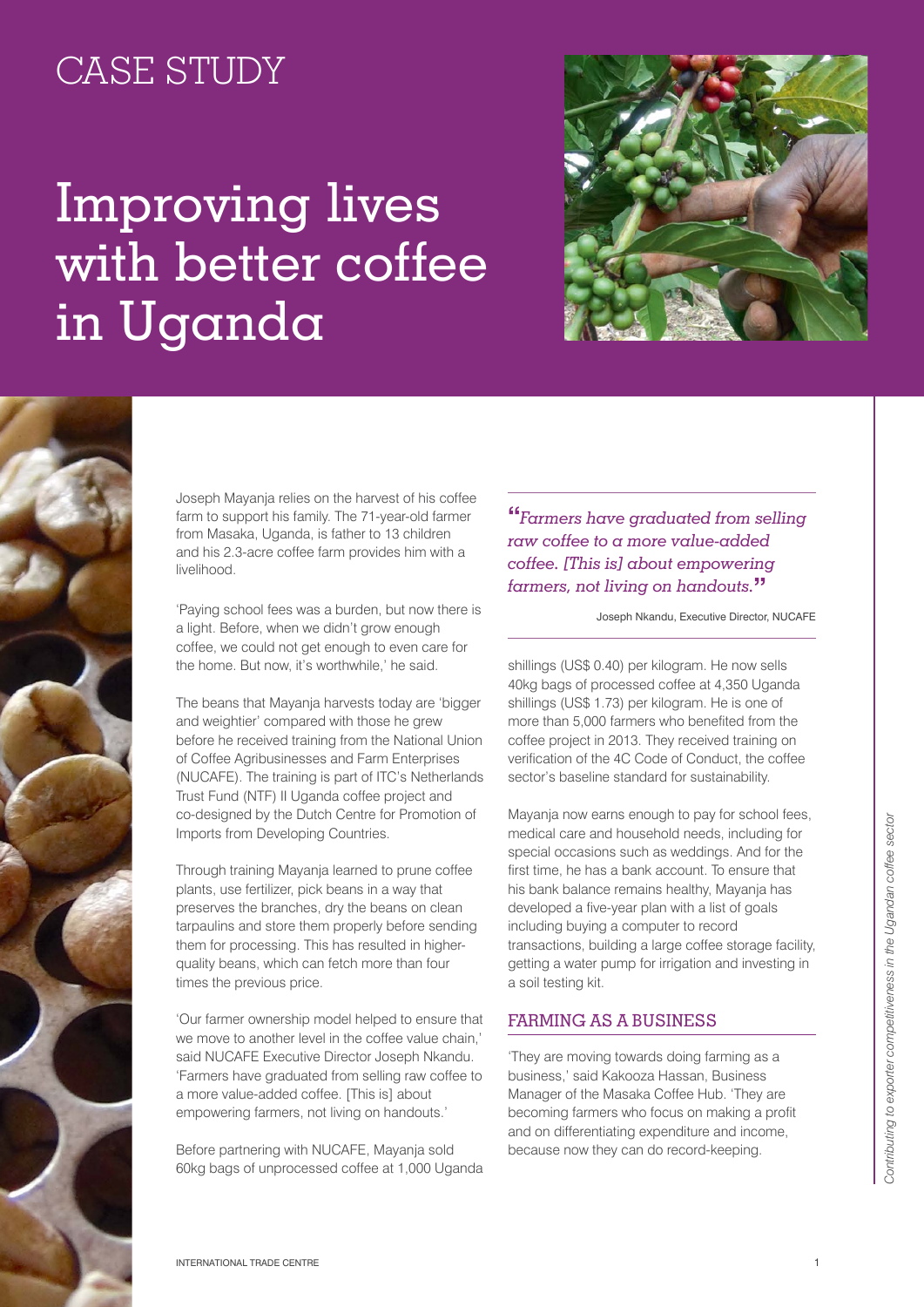## CASE STUDY

## Improving lives with better coffee in Uganda





Joseph Mayanja relies on the harvest of his coffee farm to support his family. The 71-year-old farmer from Masaka, Uganda, is father to 13 children and his 2.3-acre coffee farm provides him with a livelihood.

'Paying school fees was a burden, but now there is a light. Before, when we didn't grow enough coffee, we could not get enough to even care for the home. But now, it's worthwhile,' he said.

The beans that Mayanja harvests today are 'bigger and weightier' compared with those he grew before he received training from the National Union of Coffee Agribusinesses and Farm Enterprises (NUCAFE). The training is part of ITC's Netherlands Trust Fund (NTF) II Uganda coffee project and co-designed by the Dutch Centre for Promotion of Imports from Developing Countries.

Through training Mayanja learned to prune coffee plants, use fertilizer, pick beans in a way that preserves the branches, dry the beans on clean tarpaulins and store them properly before sending them for processing. This has resulted in higherquality beans, which can fetch more than four times the previous price.

'Our farmer ownership model helped to ensure that we move to another level in the coffee value chain.' said NUCAFE Executive Director Joseph Nkandu. 'Farmers have graduated from selling raw coffee to a more value-added coffee. [This is] about empowering farmers, not living on handouts.'

Before partnering with NUCAFE, Mayanja sold 60kg bags of unprocessed coffee at 1,000 Uganda **"***Farmers have graduated from selling raw coffee to a more value-added coffee. [This is] about empowering farmers, not living on handouts.***"**

Joseph Nkandu, Executive Director, NUCAFE

shillings (US\$ 0.40) per kilogram. He now sells 40kg bags of processed coffee at 4,350 Uganda shillings (US\$ 1.73) per kilogram. He is one of more than 5,000 farmers who benefited from the coffee project in 2013. They received training on verification of the 4C Code of Conduct, the coffee sector's baseline standard for sustainability.

Mayanja now earns enough to pay for school fees, medical care and household needs, including for special occasions such as weddings. And for the first time, he has a bank account. To ensure that his bank balance remains healthy, Mayanja has developed a five-year plan with a list of goals including buying a computer to record transactions, building a large coffee storage facility, getting a water pump for irrigation and investing in a soil testing kit.

## Farming as a business

'They are moving towards doing farming as a business,' said Kakooza Hassan, Business Manager of the Masaka Coffee Hub. 'They are becoming farmers who focus on making a profit and on differentiating expenditure and income, because now they can do record-keeping.